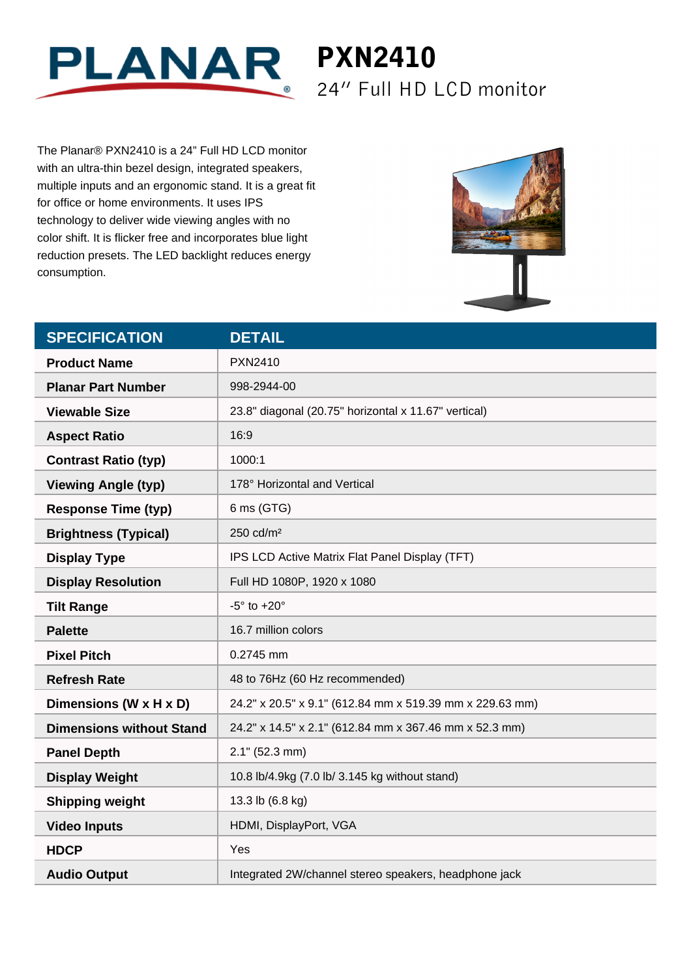

The Planar® PXN2410 is a 24" Full HD LCD monitor with an ultra-thin bezel design, integrated speakers, multiple inputs and an ergonomic stand. It is a great fit for office or home environments. It uses IPS technology to deliver wide viewing angles with no color shift. It is flicker free and incorporates blue light reduction presets. The LED backlight reduces energy consumption.



24" Full HD LCD monitor

| <b>SPECIFICATION</b>            | <b>DETAIL</b>                                            |
|---------------------------------|----------------------------------------------------------|
| <b>Product Name</b>             | PXN2410                                                  |
| <b>Planar Part Number</b>       | 998-2944-00                                              |
| <b>Viewable Size</b>            | 23.8" diagonal (20.75" horizontal x 11.67" vertical)     |
| <b>Aspect Ratio</b>             | 16:9                                                     |
| <b>Contrast Ratio (typ)</b>     | 1000:1                                                   |
| <b>Viewing Angle (typ)</b>      | 178° Horizontal and Vertical                             |
| <b>Response Time (typ)</b>      | 6 ms (GTG)                                               |
| <b>Brightness (Typical)</b>     | 250 cd/m <sup>2</sup>                                    |
| <b>Display Type</b>             | IPS LCD Active Matrix Flat Panel Display (TFT)           |
| <b>Display Resolution</b>       | Full HD 1080P, 1920 x 1080                               |
| <b>Tilt Range</b>               | $-5^\circ$ to $+20^\circ$                                |
| <b>Palette</b>                  | 16.7 million colors                                      |
| <b>Pixel Pitch</b>              | 0.2745 mm                                                |
| <b>Refresh Rate</b>             | 48 to 76Hz (60 Hz recommended)                           |
| Dimensions (W x H x D)          | 24.2" x 20.5" x 9.1" (612.84 mm x 519.39 mm x 229.63 mm) |
| <b>Dimensions without Stand</b> | 24.2" x 14.5" x 2.1" (612.84 mm x 367.46 mm x 52.3 mm)   |
| <b>Panel Depth</b>              | $2.1"$ (52.3 mm)                                         |
| <b>Display Weight</b>           | 10.8 lb/4.9kg (7.0 lb/ 3.145 kg without stand)           |
| <b>Shipping weight</b>          | 13.3 lb (6.8 kg)                                         |
| <b>Video Inputs</b>             | HDMI, DisplayPort, VGA                                   |
| <b>HDCP</b>                     | Yes                                                      |
| <b>Audio Output</b>             | Integrated 2W/channel stereo speakers, headphone jack    |